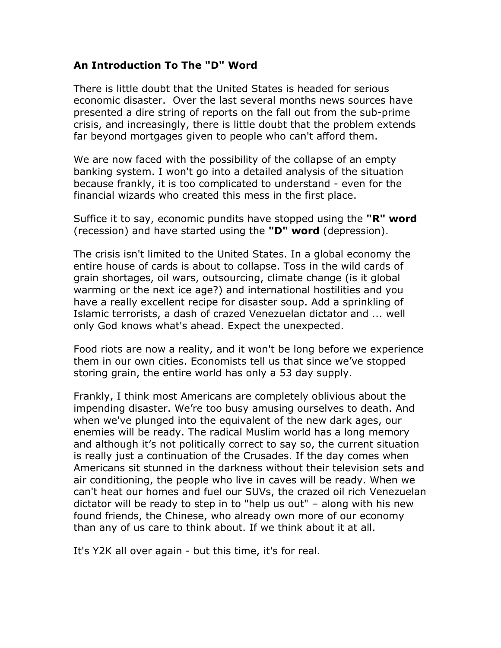## **An Introduction To The "D" Word**

There is little doubt that the United States is headed for serious economic disaster. Over the last several months news sources have presented a dire string of reports on the fall out from the sub-prime crisis, and increasingly, there is little doubt that the problem extends far beyond mortgages given to people who can't afford them.

We are now faced with the possibility of the collapse of an empty banking system. I won't go into a detailed analysis of the situation because frankly, it is too complicated to understand - even for the financial wizards who created this mess in the first place.

Suffice it to say, economic pundits have stopped using the **"R" word**  (recession) and have started using the **"D" word** (depression).

The crisis isn't limited to the United States. In a global economy the entire house of cards is about to collapse. Toss in the wild cards of grain shortages, oil wars, outsourcing, climate change (is it global warming or the next ice age?) and international hostilities and you have a really excellent recipe for disaster soup. Add a sprinkling of Islamic terrorists, a dash of crazed Venezuelan dictator and ... well only God knows what's ahead. Expect the unexpected.

Food riots are now a reality, and it won't be long before we experience them in our own cities. Economists tell us that since we've stopped storing grain, the entire world has only a 53 day supply.

Frankly, I think most Americans are completely oblivious about the impending disaster. We're too busy amusing ourselves to death. And when we've plunged into the equivalent of the new dark ages, our enemies will be ready. The radical Muslim world has a long memory and although it's not politically correct to say so, the current situation is really just a continuation of the Crusades. If the day comes when Americans sit stunned in the darkness without their television sets and air conditioning, the people who live in caves will be ready. When we can't heat our homes and fuel our SUVs, the crazed oil rich Venezuelan dictator will be ready to step in to "help us out" – along with his new found friends, the Chinese, who already own more of our economy than any of us care to think about. If we think about it at all.

It's Y2K all over again - but this time, it's for real.